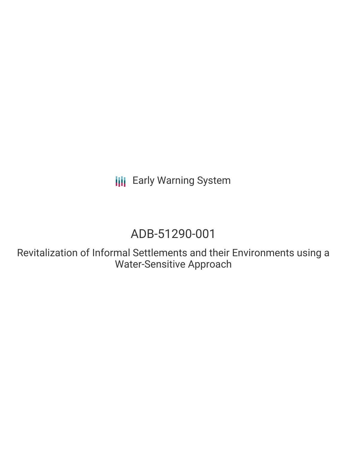**III** Early Warning System

# ADB-51290-001

Revitalization of Informal Settlements and their Environments using a Water-Sensitive Approach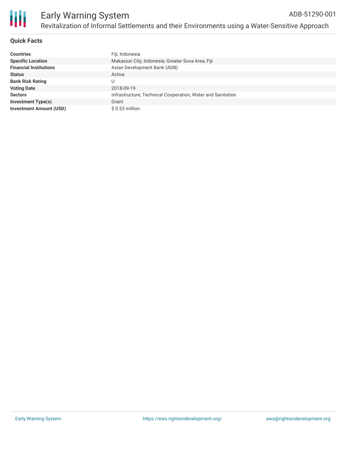

# **Quick Facts**

| <b>Countries</b>               | Fiji, Indonesia                                             |
|--------------------------------|-------------------------------------------------------------|
| <b>Specific Location</b>       | Makassar City, Indonesia; Greater Suva Area, Fiji           |
| <b>Financial Institutions</b>  | Asian Development Bank (ADB)                                |
| <b>Status</b>                  | Active                                                      |
| <b>Bank Risk Rating</b>        | U                                                           |
| <b>Voting Date</b>             | 2018-09-19                                                  |
| <b>Sectors</b>                 | Infrastructure, Technical Cooperation, Water and Sanitation |
| <b>Investment Type(s)</b>      | Grant                                                       |
| <b>Investment Amount (USD)</b> | $$0.53$ million                                             |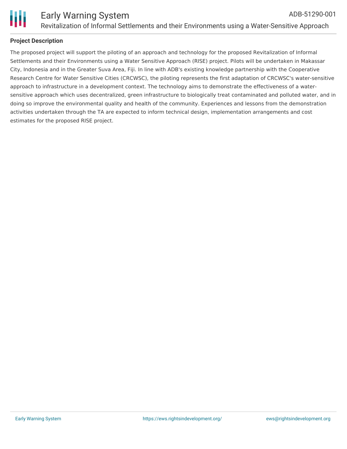

## **Project Description**

The proposed project will support the piloting of an approach and technology for the proposed Revitalization of Informal Settlements and their Environments using a Water Sensitive Approach (RISE) project. Pilots will be undertaken in Makassar City, Indonesia and in the Greater Suva Area, Fiji. In line with ADB's existing knowledge partnership with the Cooperative Research Centre for Water Sensitive Cities (CRCWSC), the piloting represents the first adaptation of CRCWSC's water-sensitive approach to infrastructure in a development context. The technology aims to demonstrate the effectiveness of a watersensitive approach which uses decentralized, green infrastructure to biologically treat contaminated and polluted water, and in doing so improve the environmental quality and health of the community. Experiences and lessons from the demonstration activities undertaken through the TA are expected to inform technical design, implementation arrangements and cost estimates for the proposed RISE project.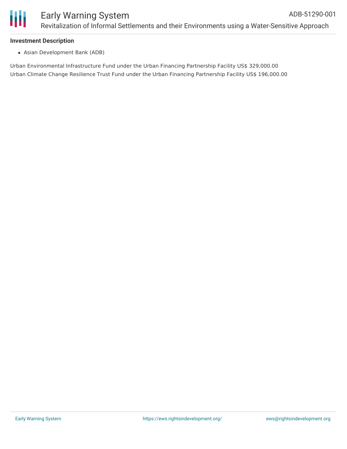#### **Investment Description**

Asian Development Bank (ADB)

Urban Environmental Infrastructure Fund under the Urban Financing Partnership Facility US\$ 329,000.00 Urban Climate Change Resilience Trust Fund under the Urban Financing Partnership Facility US\$ 196,000.00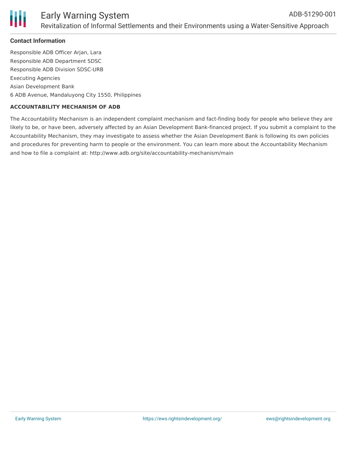

## **Contact Information**

Responsible ADB Officer Arjan, Lara Responsible ADB Department SDSC Responsible ADB Division SDSC-URB Executing Agencies Asian Development Bank 6 ADB Avenue, Mandaluyong City 1550, Philippines

#### **ACCOUNTABILITY MECHANISM OF ADB**

The Accountability Mechanism is an independent complaint mechanism and fact-finding body for people who believe they are likely to be, or have been, adversely affected by an Asian Development Bank-financed project. If you submit a complaint to the Accountability Mechanism, they may investigate to assess whether the Asian Development Bank is following its own policies and procedures for preventing harm to people or the environment. You can learn more about the Accountability Mechanism and how to file a complaint at: http://www.adb.org/site/accountability-mechanism/main